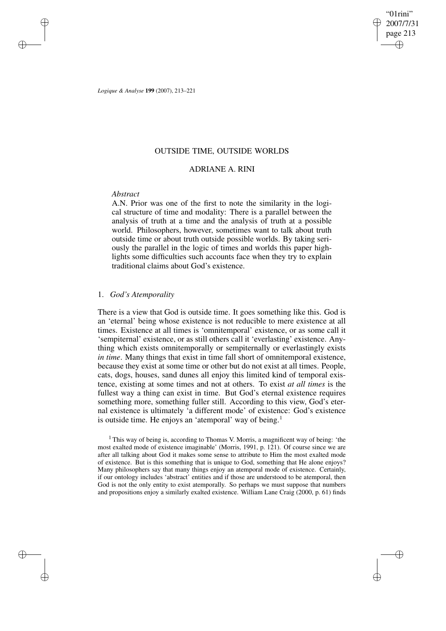"01rini" 2007/7/31 page 213 ✐ ✐

✐

✐

*Logique & Analyse* **199** (2007), 213–221

# OUTSIDE TIME, OUTSIDE WORLDS

## ADRIANE A. RINI

## *Abstract*

✐

✐

✐

✐

A.N. Prior was one of the first to note the similarity in the logical structure of time and modality: There is a parallel between the analysis of truth at a time and the analysis of truth at a possible world. Philosophers, however, sometimes want to talk about truth outside time or about truth outside possible worlds. By taking seriously the parallel in the logic of times and worlds this paper highlights some difficulties such accounts face when they try to explain traditional claims about God's existence.

# 1. *God's Atemporality*

There is a view that God is outside time. It goes something like this. God is an 'eternal' being whose existence is not reducible to mere existence at all times. Existence at all times is 'omnitemporal' existence, or as some call it 'sempiternal' existence, or as still others call it 'everlasting' existence. Anything which exists omnitemporally or sempiternally or everlastingly exists *in time*. Many things that exist in time fall short of omnitemporal existence, because they exist at some time or other but do not exist at all times. People, cats, dogs, houses, sand dunes all enjoy this limited kind of temporal existence, existing at some times and not at others. To exist *at all times* is the fullest way a thing can exist in time. But God's eternal existence requires something more, something fuller still. According to this view, God's eternal existence is ultimately 'a different mode' of existence: God's existence is outside time. He enjoys an 'atemporal' way of being.<sup>1</sup>

<sup>1</sup> This way of being is, according to Thomas V. Morris, a magnificent way of being: 'the most exalted mode of existence imaginable' (Morris, 1991, p. 121). Of course since we are after all talking about God it makes some sense to attribute to Him the most exalted mode of existence. But is this something that is unique to God, something that He alone enjoys? Many philosophers say that many things enjoy an atemporal mode of existence. Certainly, if our ontology includes 'abstract' entities and if those are understood to be atemporal, then God is not the only entity to exist atemporally. So perhaps we must suppose that numbers and propositions enjoy a similarly exalted existence. William Lane Craig (2000, p. 61) finds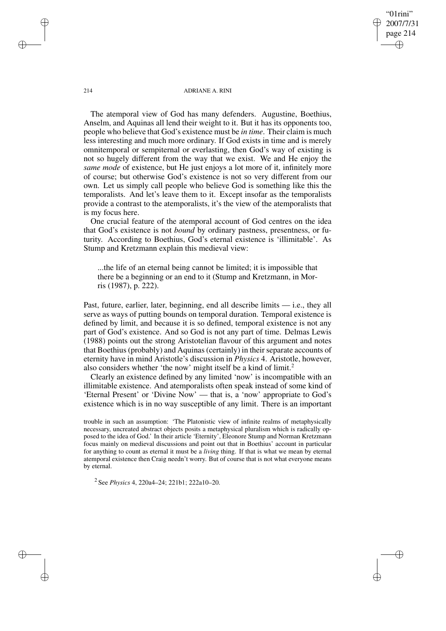2007/7/31 page 214 ✐ ✐

✐

✐

"01rini"

### 214 ADRIANE A. RINI

The atemporal view of God has many defenders. Augustine, Boethius, Anselm, and Aquinas all lend their weight to it. But it has its opponents too, people who believe that God's existence must be *in time*. Their claim is much less interesting and much more ordinary. If God exists in time and is merely omnitemporal or sempiternal or everlasting, then God's way of existing is not so hugely different from the way that we exist. We and He enjoy the *same mode* of existence, but He just enjoys a lot more of it, infinitely more of course; but otherwise God's existence is not so very different from our own. Let us simply call people who believe God is something like this the temporalists. And let's leave them to it. Except insofar as the temporalists provide a contrast to the atemporalists, it's the view of the atemporalists that is my focus here.

One crucial feature of the atemporal account of God centres on the idea that God's existence is not *bound* by ordinary pastness, presentness, or futurity. According to Boethius, God's eternal existence is 'illimitable'. As Stump and Kretzmann explain this medieval view:

...the life of an eternal being cannot be limited; it is impossible that there be a beginning or an end to it (Stump and Kretzmann, in Morris (1987), p. 222).

Past, future, earlier, later, beginning, end all describe limits — i.e., they all serve as ways of putting bounds on temporal duration. Temporal existence is defined by limit, and because it is so defined, temporal existence is not any part of God's existence. And so God is not any part of time. Delmas Lewis (1988) points out the strong Aristotelian flavour of this argument and notes that Boethius (probably) and Aquinas (certainly) in their separate accounts of eternity have in mind Aristotle's discussion in *Physics* 4. Aristotle, however, also considers whether 'the now' might itself be a kind of limit.<sup>2</sup>

Clearly an existence defined by any limited 'now' is incompatible with an illimitable existence. And atemporalists often speak instead of some kind of 'Eternal Present' or 'Divine Now' — that is, a 'now' appropriate to God's existence which is in no way susceptible of any limit. There is an important

trouble in such an assumption: 'The Platonistic view of infinite realms of metaphysically necessary, uncreated abstract objects posits a metaphysical pluralism which is radically opposed to the idea of God.' In their article 'Eternity', Eleonore Stump and Norman Kretzmann focus mainly on medieval discussions and point out that in Boethius' account in particular for anything to count as eternal it must be a *living* thing. If that is what we mean by eternal atemporal existence then Craig needn't worry. But of course that is not what everyone means by eternal.

2 See *Physics* 4, 220a4–24; 221b1; 222a10–20.

✐

✐

✐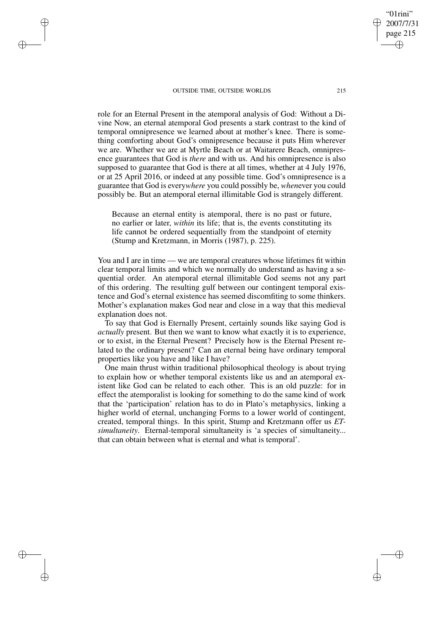OUTSIDE TIME, OUTSIDE WORLDS 215

✐

✐

✐

✐

role for an Eternal Present in the atemporal analysis of God: Without a Divine Now, an eternal atemporal God presents a stark contrast to the kind of temporal omnipresence we learned about at mother's knee. There is something comforting about God's omnipresence because it puts Him wherever we are. Whether we are at Myrtle Beach or at Waitarere Beach, omnipresence guarantees that God is *there* and with us. And his omnipresence is also supposed to guarantee that God is there at all times, whether at 4 July 1976, or at 25 April 2016, or indeed at any possible time. God's omnipresence is a guarantee that God is every*where* you could possibly be, *when*ever you could possibly be. But an atemporal eternal illimitable God is strangely different.

Because an eternal entity is atemporal, there is no past or future, no earlier or later, *within* its life; that is, the events constituting its life cannot be ordered sequentially from the standpoint of eternity (Stump and Kretzmann, in Morris (1987), p. 225).

You and I are in time — we are temporal creatures whose lifetimes fit within clear temporal limits and which we normally do understand as having a sequential order. An atemporal eternal illimitable God seems not any part of this ordering. The resulting gulf between our contingent temporal existence and God's eternal existence has seemed discomfiting to some thinkers. Mother's explanation makes God near and close in a way that this medieval explanation does not.

To say that God is Eternally Present, certainly sounds like saying God is *actually* present. But then we want to know what exactly it is to experience, or to exist, in the Eternal Present? Precisely how is the Eternal Present related to the ordinary present? Can an eternal being have ordinary temporal properties like you have and like I have?

One main thrust within traditional philosophical theology is about trying to explain how or whether temporal existents like us and an atemporal existent like God can be related to each other. This is an old puzzle: for in effect the atemporalist is looking for something to do the same kind of work that the 'participation' relation has to do in Plato's metaphysics, linking a higher world of eternal, unchanging Forms to a lower world of contingent, created, temporal things. In this spirit, Stump and Kretzmann offer us *ETsimultaneity*. Eternal-temporal simultaneity is 'a species of simultaneity... that can obtain between what is eternal and what is temporal'.

"01rini" 2007/7/31 page 215

✐

✐

✐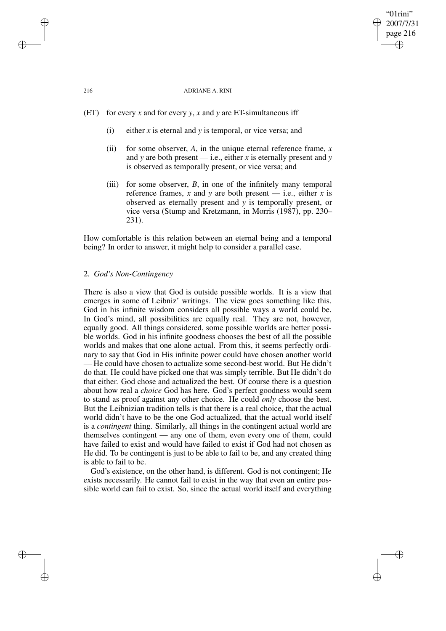### 216 ADRIANE A. RINI

"01rini" 2007/7/31 page 216

✐

✐

✐

✐

- (ET) for every *x* and for every *y*, *x* and *y* are ET-simultaneous iff
	- (i) either *x* is eternal and *y* is temporal, or vice versa; and
	- (ii) for some observer, *A*, in the unique eternal reference frame, *x* and *y* are both present — i.e., either *x* is eternally present and *y* is observed as temporally present, or vice versa; and
	- (iii) for some observer, *B*, in one of the infinitely many temporal reference frames, *x* and *y* are both present — i.e., either *x* is observed as eternally present and *y* is temporally present, or vice versa (Stump and Kretzmann, in Morris (1987), pp. 230– 231).

How comfortable is this relation between an eternal being and a temporal being? In order to answer, it might help to consider a parallel case.

# 2. *God's Non-Contingency*

There is also a view that God is outside possible worlds. It is a view that emerges in some of Leibniz' writings. The view goes something like this. God in his infinite wisdom considers all possible ways a world could be. In God's mind, all possibilities are equally real. They are not, however, equally good. All things considered, some possible worlds are better possible worlds. God in his infinite goodness chooses the best of all the possible worlds and makes that one alone actual. From this, it seems perfectly ordinary to say that God in His infinite power could have chosen another world — He could have chosen to actualize some second-best world. But He didn't do that. He could have picked one that was simply terrible. But He didn't do that either. God chose and actualized the best. Of course there is a question about how real a *choice* God has here. God's perfect goodness would seem to stand as proof against any other choice. He could *only* choose the best. But the Leibnizian tradition tells is that there is a real choice, that the actual world didn't have to be the one God actualized, that the actual world itself is a *contingent* thing. Similarly, all things in the contingent actual world are themselves contingent — any one of them, even every one of them, could have failed to exist and would have failed to exist if God had not chosen as He did. To be contingent is just to be able to fail to be, and any created thing is able to fail to be.

God's existence, on the other hand, is different. God is not contingent; He exists necessarily. He cannot fail to exist in the way that even an entire possible world can fail to exist. So, since the actual world itself and everything

✐

✐

✐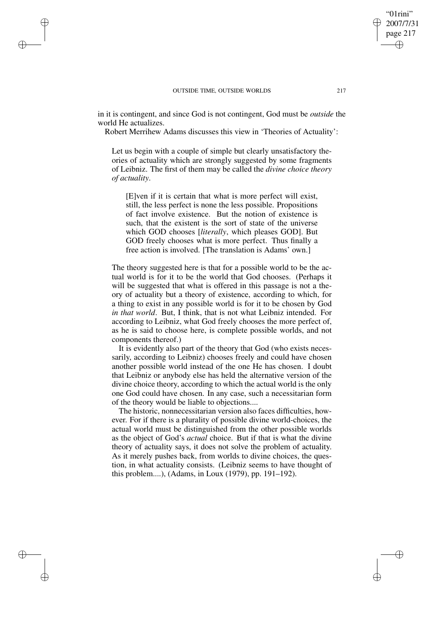#### OUTSIDE TIME, OUTSIDE WORLDS 217

✐

✐

✐

✐

in it is contingent, and since God is not contingent, God must be *outside* the world He actualizes.

Robert Merrihew Adams discusses this view in 'Theories of Actuality':

Let us begin with a couple of simple but clearly unsatisfactory theories of actuality which are strongly suggested by some fragments of Leibniz. The first of them may be called the *divine choice theory of actuality*.

[E]ven if it is certain that what is more perfect will exist, still, the less perfect is none the less possible. Propositions of fact involve existence. But the notion of existence is such, that the existent is the sort of state of the universe which GOD chooses [*literally*, which pleases GOD]. But GOD freely chooses what is more perfect. Thus finally a free action is involved. [The translation is Adams' own.]

The theory suggested here is that for a possible world to be the actual world is for it to be the world that God chooses. (Perhaps it will be suggested that what is offered in this passage is not a theory of actuality but a theory of existence, according to which, for a thing to exist in any possible world is for it to be chosen by God *in that world*. But, I think, that is not what Leibniz intended. For according to Leibniz, what God freely chooses the more perfect of, as he is said to choose here, is complete possible worlds, and not components thereof.)

It is evidently also part of the theory that God (who exists necessarily, according to Leibniz) chooses freely and could have chosen another possible world instead of the one He has chosen. I doubt that Leibniz or anybody else has held the alternative version of the divine choice theory, according to which the actual world is the only one God could have chosen. In any case, such a necessitarian form of the theory would be liable to objections....

The historic, nonnecessitarian version also faces difficulties, however. For if there is a plurality of possible divine world-choices, the actual world must be distinguished from the other possible worlds as the object of God's *actual* choice. But if that is what the divine theory of actuality says, it does not solve the problem of actuality. As it merely pushes back, from worlds to divine choices, the question, in what actuality consists. (Leibniz seems to have thought of this problem....), (Adams, in Loux (1979), pp. 191–192).

"01rini" 2007/7/31 page 217

✐

✐

✐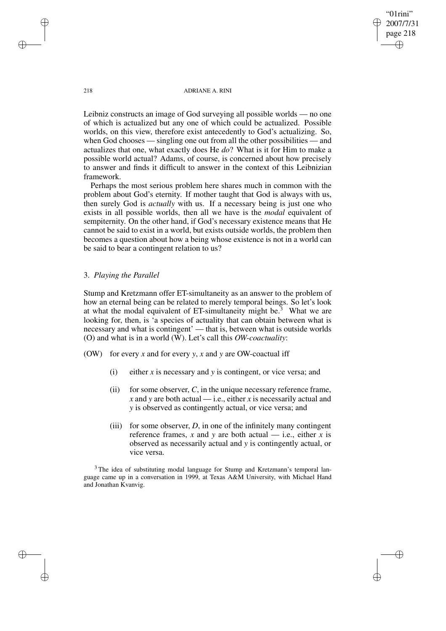2007/7/31 page 218 ✐ ✐

✐

✐

"01rini"

### 218 ADRIANE A. RINI

Leibniz constructs an image of God surveying all possible worlds — no one of which is actualized but any one of which could be actualized. Possible worlds, on this view, therefore exist antecedently to God's actualizing. So, when God chooses — singling one out from all the other possibilities — and actualizes that one, what exactly does He *do*? What is it for Him to make a possible world actual? Adams, of course, is concerned about how precisely to answer and finds it difficult to answer in the context of this Leibnizian framework.

Perhaps the most serious problem here shares much in common with the problem about God's eternity. If mother taught that God is always with us, then surely God is *actually* with us. If a necessary being is just one who exists in all possible worlds, then all we have is the *modal* equivalent of sempiternity. On the other hand, if God's necessary existence means that He cannot be said to exist in a world, but exists outside worlds, the problem then becomes a question about how a being whose existence is not in a world can be said to bear a contingent relation to us?

## 3. *Playing the Parallel*

Stump and Kretzmann offer ET-simultaneity as an answer to the problem of how an eternal being can be related to merely temporal beings. So let's look at what the modal equivalent of ET-simultaneity might be.<sup>3</sup> What we are looking for, then, is 'a species of actuality that can obtain between what is necessary and what is contingent' — that is, between what is outside worlds (O) and what is in a world (W). Let's call this *OW-coactuality*:

(OW) for every *x* and for every *y*, *x* and *y* are OW-coactual iff

- (i) either *x* is necessary and *y* is contingent, or vice versa; and
- (ii) for some observer,  $C$ , in the unique necessary reference frame, *x* and *y* are both actual — i.e., either *x* is necessarily actual and *y* is observed as contingently actual, or vice versa; and
- (iii) for some observer,  $D$ , in one of the infinitely many contingent reference frames, x and y are both actual  $-$  i.e., either x is observed as necessarily actual and *y* is contingently actual, or vice versa.

✐

✐

✐

<sup>&</sup>lt;sup>3</sup> The idea of substituting modal language for Stump and Kretzmann's temporal language came up in a conversation in 1999, at Texas A&M University, with Michael Hand and Jonathan Kvanvig.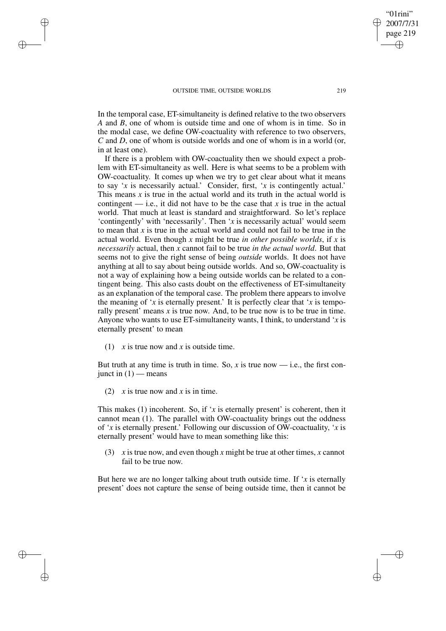✐

✐

✐

✐

✐

✐

✐

"01rini" 2007/7/31

In the temporal case, ET-simultaneity is defined relative to the two observers *A* and *B*, one of whom is outside time and one of whom is in time. So in the modal case, we define OW-coactuality with reference to two observers, *C* and *D*, one of whom is outside worlds and one of whom is in a world (or, in at least one).

If there is a problem with OW-coactuality then we should expect a problem with ET-simultaneity as well. Here is what seems to be a problem with OW-coactuality. It comes up when we try to get clear about what it means to say '*x* is necessarily actual.' Consider, first, '*x* is contingently actual.' This means *x* is true in the actual world and its truth in the actual world is contingent — i.e., it did not have to be the case that *x* is true in the actual world. That much at least is standard and straightforward. So let's replace 'contingently' with 'necessarily'. Then '*x* is necessarily actual' would seem to mean that *x* is true in the actual world and could not fail to be true in the actual world. Even though *x* might be true *in other possible worlds*, if *x* is *necessarily* actual, then *x* cannot fail to be true *in the actual world*. But that seems not to give the right sense of being *outside* worlds. It does not have anything at all to say about being outside worlds. And so, OW-coactuality is not a way of explaining how a being outside worlds can be related to a contingent being. This also casts doubt on the effectiveness of ET-simultaneity as an explanation of the temporal case. The problem there appears to involve the meaning of '*x* is eternally present.' It is perfectly clear that '*x* is temporally present' means *x* is true now. And, to be true now is to be true in time. Anyone who wants to use ET-simultaneity wants, I think, to understand '*x* is eternally present' to mean

(1) *x* is true now and *x* is outside time.

But truth at any time is truth in time. So,  $x$  is true now — i.e., the first conjunct in  $(1)$  — means

(2)  $x$  is true now and  $x$  is in time.

This makes (1) incoherent. So, if '*x* is eternally present' is coherent, then it cannot mean (1). The parallel with OW-coactuality brings out the oddness of '*x* is eternally present.' Following our discussion of OW-coactuality, '*x* is eternally present' would have to mean something like this:

(3) *x* is true now, and even though *x* might be true at other times, *x* cannot fail to be true now.

But here we are no longer talking about truth outside time. If '*x* is eternally present' does not capture the sense of being outside time, then it cannot be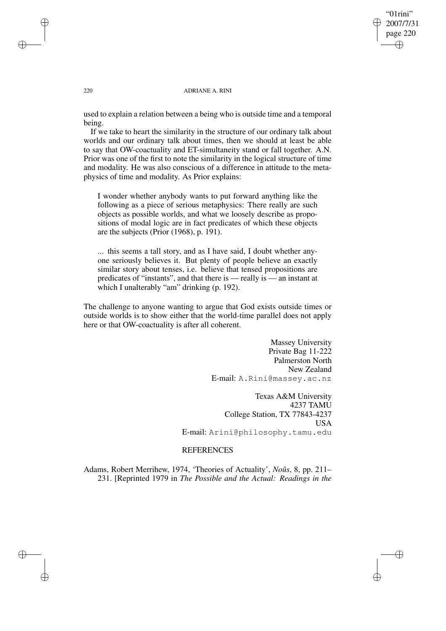## "01rini" 2007/7/31 page 220 ✐ ✐

✐

✐

### 220 ADRIANE A. RINI

used to explain a relation between a being who is outside time and a temporal being.

If we take to heart the similarity in the structure of our ordinary talk about worlds and our ordinary talk about times, then we should at least be able to say that OW-coactuality and ET-simultaneity stand or fall together. A.N. Prior was one of the first to note the similarity in the logical structure of time and modality. He was also conscious of a difference in attitude to the metaphysics of time and modality. As Prior explains:

I wonder whether anybody wants to put forward anything like the following as a piece of serious metaphysics: There really are such objects as possible worlds, and what we loosely describe as propositions of modal logic are in fact predicates of which these objects are the subjects (Prior (1968), p. 191).

... this seems a tall story, and as I have said, I doubt whether anyone seriously believes it. But plenty of people believe an exactly similar story about tenses, i.e. believe that tensed propositions are predicates of "instants", and that there is — really is — an instant at which I unalterably "am" drinking (p. 192).

The challenge to anyone wanting to argue that God exists outside times or outside worlds is to show either that the world-time parallel does not apply here or that OW-coactuality is after all coherent.

> Massey University Private Bag 11-222 Palmerston North New Zealand E-mail: A.Rini@massey.ac.nz

Texas A&M University 4237 TAMU College Station, TX 77843-4237 USA E-mail: Arini@philosophy.tamu.edu

# **REFERENCES**

Adams, Robert Merrihew, 1974, 'Theories of Actuality', *Noûs*, 8, pp. 211– 231. [Reprinted 1979 in *The Possible and the Actual: Readings in the*

✐

✐

✐